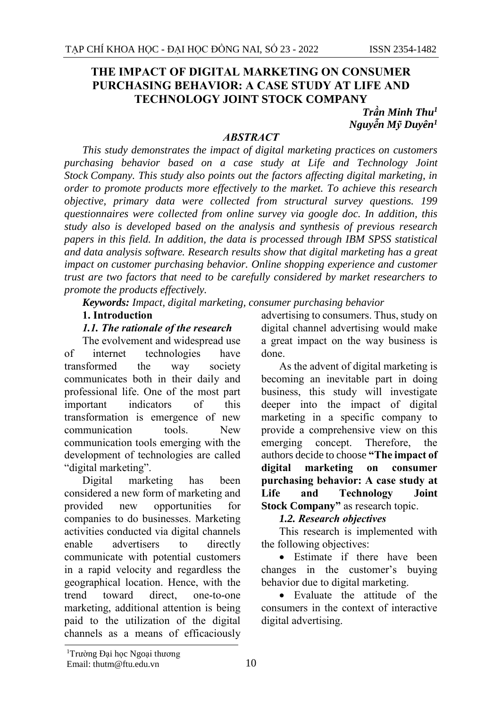# THE IMPACT OF DIGITAL MARKETING ON CONSUMER PURCHASING BEHAVIOR: A CASE STUDY AT LIFE AND **TECHNOLOGY JOINT STOCK COMPANY**

Trần Minh Thu<sup>1</sup> Nguyễn Mỹ Duyên<sup>1</sup>

### **ABSTRACT**

This study demonstrates the impact of digital marketing practices on customers purchasing behavior based on a case study at Life and Technology Joint Stock Company. This study also points out the factors affecting digital marketing, in order to promote products more effectively to the market. To achieve this research objective, primary data were collected from structural survey questions. 199 questionnaires were collected from online survey via google doc. In addition, this study also is developed based on the analysis and synthesis of previous research papers in this field. In addition, the data is processed through IBM SPSS statistical and data analysis software. Research results show that digital marketing has a great impact on customer purchasing behavior. Online shopping experience and customer trust are two factors that need to be carefully considered by market researchers to promote the products effectively.

Keywords: Impact, digital marketing, consumer purchasing behavior

# 1. Introduction

# 1.1. The rationale of the research

The evolvement and widespread use technologies  $\alpha$ f internet have transformed society the way communicates both in their daily and professional life. One of the most part this important indicators  $\sigma$ f transformation is emergence of new communication tools. **New** communication tools emerging with the development of technologies are called "digital marketing".

Digital marketing has been considered a new form of marketing and opportunities provided new for companies to do businesses. Marketing activities conducted via digital channels enable advertisers to directly communicate with potential customers in a rapid velocity and regardless the geographical location. Hence, with the trend toward direct. one-to-one marketing, additional attention is being paid to the utilization of the digital channels as a means of efficaciously

advertising to consumers. Thus, study on digital channel advertising would make a great impact on the way business is done.

As the advent of digital marketing is becoming an inevitable part in doing business, this study will investigate deeper into the impact of digital marketing in a specific company to provide a comprehensive view on this emerging concept. Therefore, the authors decide to choose "The impact of digital marketing consumer on purchasing behavior: A case study at and **Technology** Life **Joint** Stock Company" as research topic.

### 1.2. Research objectives

This research is implemented with the following objectives:

• Estimate if there have been changes in the customer's buying behavior due to digital marketing.

• Evaluate the attitude of the consumers in the context of interactive digital advertising.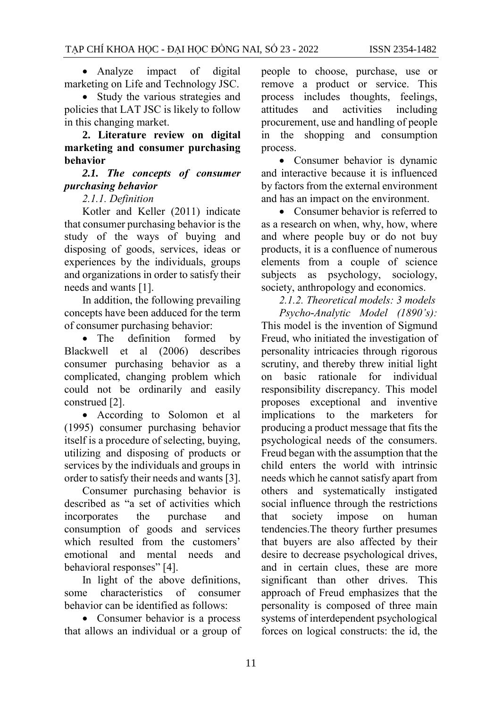$\bullet$  Analyze impact  $\circ$ f digital marketing on Life and Technology JSC.

• Study the various strategies and policies that LAT JSC is likely to follow in this changing market.

2. Literature review on digital marketing and consumer purchasing **behavior** 

#### 2.1. The concepts of consumer purchasing behavior

# 2.1.1. Definition

Kotler and Keller (2011) indicate that consumer purchasing behavior is the study of the ways of buying and disposing of goods, services, ideas or experiences by the individuals, groups and organizations in order to satisfy their needs and wants [1].

In addition, the following prevailing concepts have been adduced for the term of consumer purchasing behavior:

 $\bullet$  The definition formed  $\mathbf{b}$ v Blackwell et al (2006) describes consumer purchasing behavior as a complicated, changing problem which could not be ordinarily and easily construed [2].

• According to Solomon et al (1995) consumer purchasing behavior itself is a procedure of selecting, buying, utilizing and disposing of products or services by the individuals and groups in order to satisfy their needs and wants [3].

Consumer purchasing behavior is described as "a set of activities which incorporates purchase the and consumption of goods and services which resulted from the customers' emotional and mental needs and behavioral responses" [4].

In light of the above definitions, some characteristics of consumer behavior can be identified as follows:

• Consumer behavior is a process that allows an individual or a group of people to choose, purchase, use or remove a product or service. This process includes thoughts, feelings, attitudes and activities including procurement, use and handling of people in the shopping and consumption process.

• Consumer behavior is dynamic and interactive because it is influenced by factors from the external environment and has an impact on the environment.

• Consumer behavior is referred to as a research on when, why, how, where and where people buy or do not buy products, it is a confluence of numerous elements from a couple of science subjects as psychology, sociology, society, anthropology and economics.

2.1.2. Theoretical models: 3 models Psycho-Analytic Model (1890's): This model is the invention of Sigmund Freud, who initiated the investigation of personality intricacies through rigorous scrutiny, and thereby threw initial light  $on$ basic rationale for individual responsibility discrepancy. This model proposes exceptional and inventive implications to the marketers for producing a product message that fits the psychological needs of the consumers. Freud began with the assumption that the child enters the world with intrinsic needs which he cannot satisfy apart from others and systematically instigated social influence through the restrictions impose society human that on tendencies. The theory further presumes that buyers are also affected by their desire to decrease psychological drives, and in certain clues, these are more significant than other drives. This approach of Freud emphasizes that the personality is composed of three main systems of interdependent psychological forces on logical constructs: the id, the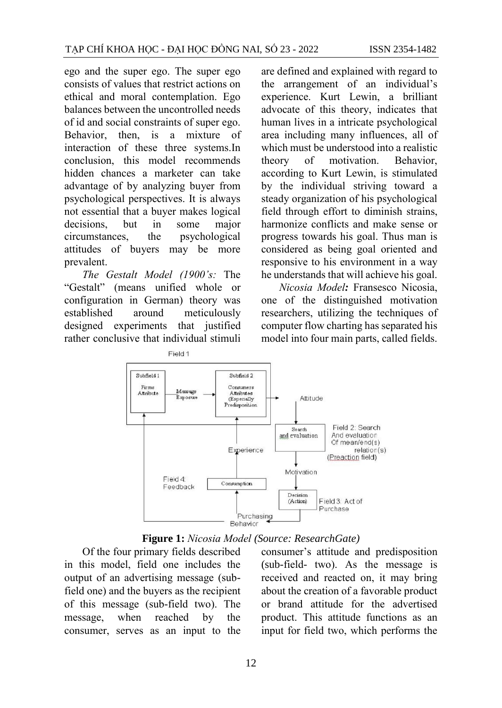ego and the super ego. The super ego consists of values that restrict actions on ethical and moral contemplation. Ego balances between the uncontrolled needs of id and social constraints of super ego. then, is a mixture of Behavior. interaction of these three systems.In conclusion, this model recommends hidden chances a marketer can take advantage of by analyzing buyer from psychological perspectives. It is always not essential that a buyer makes logical **but** decisions.  $in$ some maior circumstances. the psychological attitudes of buyers may be more prevalent.

The Gestalt Model (1900's: The "Gestalt" (means unified whole or configuration in German) theory was established around meticulously designed experiments that justified rather conclusive that individual stimuli are defined and explained with regard to the arrangement of an individual's experience. Kurt Lewin, a brilliant advocate of this theory, indicates that human lives in a intricate psychological area including many influences, all of which must be understood into a realistic theory  $\sigma$ f motivation. Behavior. according to Kurt Lewin, is stimulated by the individual striving toward a steady organization of his psychological field through effort to diminish strains, harmonize conflicts and make sense or progress towards his goal. Thus man is considered as being goal oriented and responsive to his environment in a way he understands that will achieve his goal.

Nicosia Model: Fransesco Nicosia, one of the distinguished motivation researchers, utilizing the techniques of computer flow charting has separated his model into four main parts, called fields.



Figure 1: Nicosia Model (Source: ResearchGate)

Of the four primary fields described in this model, field one includes the output of an advertising message (subfield one) and the buyers as the recipient of this message (sub-field two). The when reached  $\mathbf{b} \mathbf{v}$ message. the consumer, serves as an input to the consumer's attitude and predisposition (sub-field- two). As the message is received and reacted on, it may bring about the creation of a favorable product or brand attitude for the advertised product. This attitude functions as an input for field two, which performs the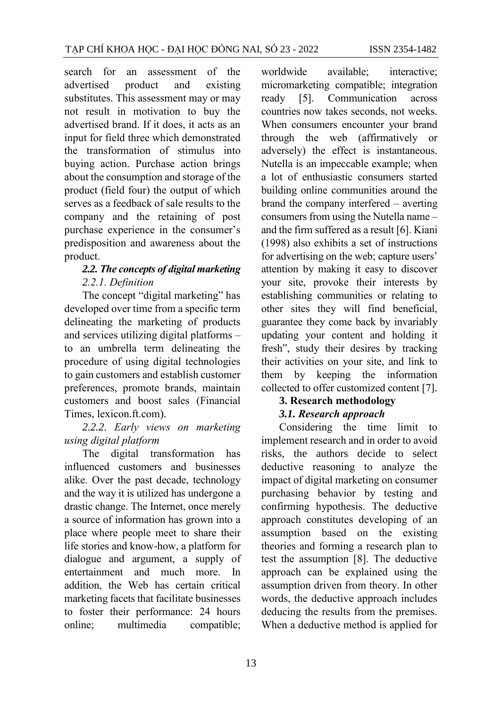search for an assessment of the advertised product and existing substitutes. This assessment may or may not result in motivation to buy the advertised brand. If it does, it acts as an input for field three which demonstrated the transformation of stimulus into buying action. Purchase action brings about the consumption and storage of the product (field four) the output of which serves as a feedback of sale results to the company and the retaining of post purchase experience in the consumer's predisposition and awareness about the product.

### 2.2. The concepts of digital marketing 2.2.1. Definition

The concept "digital marketing" has developed over time from a specific term delineating the marketing of products and services utilizing digital platforms to an umbrella term delineating the procedure of using digital technologies to gain customers and establish customer preferences, promote brands, maintain customers and boost sales (Financial Times, lexicon, ft.com).

### 2.2.2. Early views on marketing using digital platform

The digital transformation has influenced customers and businesses alike. Over the past decade, technology and the way it is utilized has undergone a drastic change. The Internet, once merely a source of information has grown into a place where people meet to share their life stories and know-how, a platform for dialogue and argument, a supply of entertainment and much more. In addition, the Web has certain critical marketing facets that facilitate businesses to foster their performance: 24 hours multimedia online: compatible: worldwide available; interactive; micromarketing compatible; integration ready  $[5]$ . Communication across countries now takes seconds, not weeks. When consumers encounter your brand through the web (affirmatively or adversely) the effect is instantaneous. Nutella is an impeccable example; when a lot of enthusiastic consumers started building online communities around the brand the company interfered  $-$  averting consumers from using the Nutella name and the firm suffered as a result [6]. Kiani (1998) also exhibits a set of instructions for advertising on the web; capture users' attention by making it easy to discover your site, provoke their interests by establishing communities or relating to other sites they will find beneficial, guarantee they come back by invariably updating your content and holding it fresh", study their desires by tracking their activities on your site, and link to them by keeping the information collected to offer customized content [7].

# 3. Research methodology

# 3.1. Research approach

Considering the time limit to implement research and in order to avoid risks, the authors decide to select deductive reasoning to analyze the impact of digital marketing on consumer purchasing behavior by testing and confirming hypothesis. The deductive approach constitutes developing of an assumption based on the existing theories and forming a research plan to test the assumption [8]. The deductive approach can be explained using the assumption driven from theory. In other words, the deductive approach includes deducing the results from the premises. When a deductive method is applied for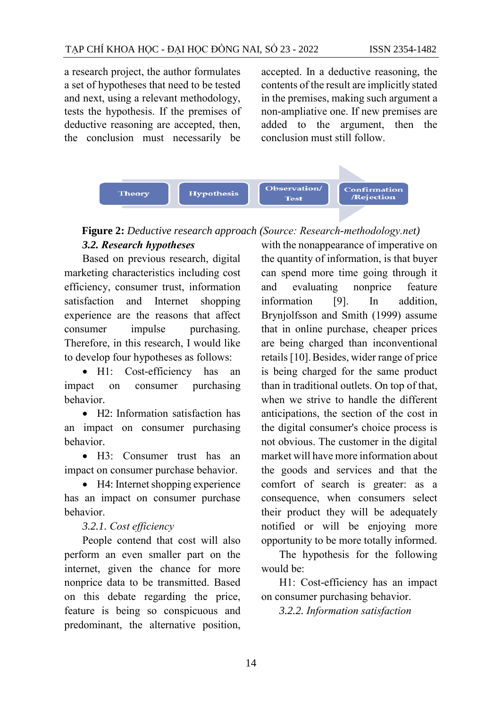a research project, the author formulates a set of hypotheses that need to be tested and next, using a relevant methodology, tests the hypothesis. If the premises of deductive reasoning are accepted, then, the conclusion must necessarily be

accepted. In a deductive reasoning, the contents of the result are implicitly stated in the premises, making such argument a non-ampliative one. If new premises are added to the argument. then the conclusion must still follow.



# Figure 2: Deductive research approach (Source: Research-methodology.net)

### 3.2. Research hypotheses

Based on previous research, digital marketing characteristics including cost efficiency, consumer trust, information satisfaction and Internet shopping experience are the reasons that affect consumer purchasing. impulse Therefore, in this research. I would like to develop four hypotheses as follows:

 $\bullet$  H1: Cost-efficiency has an impact consumer purchasing on behavior.

• H2: Information satisfaction has an impact on consumer purchasing behavior.

· H3: Consumer trust has an impact on consumer purchase behavior.

 $\bullet$  H4: Internet shopping experience has an impact on consumer purchase behavior.

3.2.1. Cost efficiency

People contend that cost will also perform an even smaller part on the internet, given the chance for more nonprice data to be transmitted. Based on this debate regarding the price, feature is being so conspicuous and predominant, the alternative position,

with the nonappearance of imperative on the quantity of information, is that buyer can spend more time going through it evaluating nonprice feature and information  $[9]$ .  $In$ addition. Brynjolfsson and Smith (1999) assume that in online purchase, cheaper prices are being charged than inconventional retails [10]. Besides, wider range of price is being charged for the same product than in traditional outlets. On top of that, when we strive to handle the different anticipations, the section of the cost in the digital consumer's choice process is not obvious. The customer in the digital market will have more information about the goods and services and that the comfort of search is greater: as a consequence, when consumers select their product they will be adequately notified or will be enjoying more opportunity to be more totally informed.

The hypothesis for the following would be:

H1: Cost-efficiency has an impact on consumer purchasing behavior.

3.2.2. Information satisfaction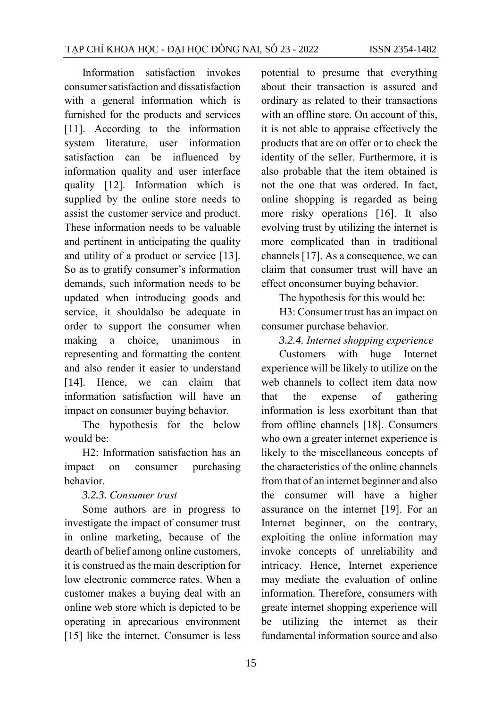Information satisfaction invokes consumer satisfaction and dissatisfaction with a general information which is furnished for the products and services [11]. According to the information system literature, user information satisfaction can be influenced by information quality and user interface quality [12]. Information which is supplied by the online store needs to assist the customer service and product. These information needs to be valuable and pertinent in anticipating the quality and utility of a product or service [13]. So as to gratify consumer's information demands, such information needs to be updated when introducing goods and service, it shouldalso be adequate in order to support the consumer when a choice. unanimous making  $in$ representing and formatting the content and also render it easier to understand [14]. Hence, we can claim that information satisfaction will have an impact on consumer buying behavior.

The hypothesis for the below would be:

H2: Information satisfaction has an impact purchasing  $\alpha$ consumer hehavior.

3.2.3. Consumer trust

Some authors are in progress to investigate the impact of consumer trust in online marketing, because of the dearth of belief among online customers, it is construed as the main description for low electronic commerce rates. When a customer makes a buying deal with an online web store which is depicted to be operating in aprecarious environment [15] like the internet. Consumer is less

potential to presume that everything about their transaction is assured and ordinary as related to their transactions with an offline store. On account of this, it is not able to appraise effectively the products that are on offer or to check the identity of the seller. Furthermore, it is also probable that the item obtained is not the one that was ordered. In fact, online shopping is regarded as being more risky operations [16]. It also evolving trust by utilizing the internet is more complicated than in traditional channels [17]. As a consequence, we can claim that consumer trust will have an effect onconsumer buying behavior.

The hypothesis for this would be:

H3: Consumer trust has an impact on consumer purchase behavior.

3.2.4. Internet shopping experience

Customers with huge Internet experience will be likely to utilize on the web channels to collect item data now expense that the  $\sigma$ f gathering information is less exorbitant than that from offline channels [18]. Consumers who own a greater internet experience is likely to the miscellaneous concepts of the characteristics of the online channels from that of an internet beginner and also the consumer will have a higher assurance on the internet [19]. For an Internet beginner, on the contrary, exploiting the online information may invoke concepts of unreliability and intricacy. Hence, Internet experience may mediate the evaluation of online information. Therefore, consumers with greate internet shopping experience will be utilizing the internet as their fundamental information source and also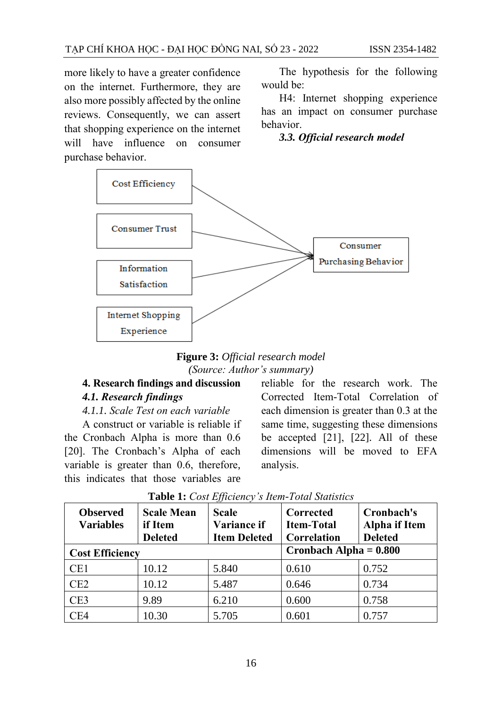more likely to have a greater confidence on the internet. Furthermore, they are also more possibly affected by the online reviews. Consequently, we can assert that shopping experience on the internet have influence on consumer will purchase behavior.

The hypothesis for the following would be:

H4: Internet shopping experience has an impact on consumer purchase behavior.

3.3. Official research model



Figure 3: Official research model (Source: Author's summary)

# 4. Research findings and discussion

# 4.1. Research findings

4.1.1. Scale Test on each variable

A construct or variable is reliable if the Cronbach Alpha is more than 0.6 [20]. The Cronbach's Alpha of each variable is greater than 0.6, therefore, this indicates that those variables are reliable for the research work. The Corrected Item-Total Correlation of each dimension is greater than 0.3 at the same time, suggesting these dimensions be accepted  $[21]$ ,  $[22]$ . All of these dimensions will be moved to EFA analysis.

| <b>Observed</b><br><b>Variables</b> | <b>Scale Mean</b><br>if Item<br><b>Deleted</b> | <b>Scale</b><br>Variance if<br><b>Item Deleted</b> | Corrected<br><b>Item-Total</b><br>Correlation | Cronbach's<br><b>Alpha</b> if Item<br><b>Deleted</b> |
|-------------------------------------|------------------------------------------------|----------------------------------------------------|-----------------------------------------------|------------------------------------------------------|
| <b>Cost Efficiency</b>              |                                                | Cronbach Alpha $= 0.800$                           |                                               |                                                      |
| CE1                                 | 10.12                                          | 5.840                                              | 0.610                                         | 0.752                                                |
| CE2                                 | 10.12                                          | 5.487                                              | 0.646                                         | 0.734                                                |
| CE <sub>3</sub>                     | 9.89                                           | 6.210                                              | 0.600                                         | 0.758                                                |
| CE4                                 | 10.30                                          | 5.705                                              | 0.601                                         | 0.757                                                |

Table 1: Cost Efficiency's Item-Total Statistics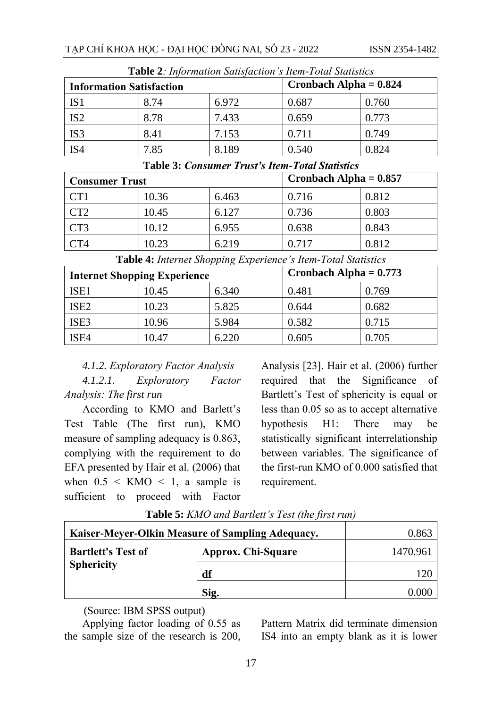| <b>Information Satisfaction</b> |      |       | Cronbach Alpha $= 0.824$ |       |
|---------------------------------|------|-------|--------------------------|-------|
| IS1                             | 8.74 | 6.972 | 0.687                    | 0.760 |
| IS <sub>2</sub>                 | 8.78 | 7.433 | 0.659                    | 0.773 |
| IS3                             | 8.41 | 7.153 | 0.711                    | 0.749 |
| IS4                             | 7.85 | 8.189 | 0.540                    | 0.824 |

Toblo 2: Information Satisfaction's Itom Total Statistics

| <b>Table 3: Consumer Trust's Item-Total Statistics</b> |       |       |                          |       |  |  |
|--------------------------------------------------------|-------|-------|--------------------------|-------|--|--|
| <b>Consumer Trust</b>                                  |       |       | Cronbach Alpha = $0.857$ |       |  |  |
| CT <sub>1</sub>                                        | 10.36 | 6.463 | 0.716                    | 0.812 |  |  |
| CT <sub>2</sub>                                        | 10.45 | 6.127 | 0.736                    | 0.803 |  |  |
| CT <sub>3</sub>                                        | 10.12 | 6.955 | 0.638                    | 0.843 |  |  |
| CT4                                                    | 10.23 | 6.219 | 0.717                    | 0.812 |  |  |

Table 4: Internet Shopping Experience's Item-Total Statistics

| <b>Internet Shopping Experience</b> |       |       | Cronbach Alpha $= 0.773$ |       |  |
|-------------------------------------|-------|-------|--------------------------|-------|--|
| ISE <sub>1</sub>                    | 10.45 | 6.340 | 0.481                    | 0.769 |  |
| ISE <sub>2</sub>                    | 10.23 | 5.825 | 0.644                    | 0.682 |  |
| ISE <sub>3</sub>                    | 10.96 | 5.984 | 0.582                    | 0.715 |  |
| ISE4                                | 10.47 | 6.220 | 0.605                    | 0.705 |  |

#### 4.1.2. Exploratory Factor Analysis Exploratory  $4.1.2.1.$ Factor Analysis: The first run

According to KMO and Barlett's Test Table (The first run), KMO measure of sampling adequacy is 0.863, complying with the requirement to do EFA presented by Hair et al. (2006) that when  $0.5 \leq KMO \leq 1$ , a sample is sufficient to proceed with Factor Analysis [23]. Hair et al. (2006) further required that the Significance of Bartlett's Test of sphericity is equal or less than 0.05 so as to accept alternative hypothesis  $H1$ : There may be statistically significant interrelationship between variables. The significance of the first-run KMO of 0.000 satisfied that requirement.

|                           | Kaiser-Meyer-Olkin Measure of Sampling Adequacy. | 0.863    |
|---------------------------|--------------------------------------------------|----------|
| <b>Bartlett's Test of</b> | <b>Approx. Chi-Square</b>                        | 1470.961 |
| <b>Sphericity</b>         | df                                               |          |
|                           | Sig.                                             | ດ ດດເ    |

Table 5: KMO and Bartlett's Test (the first run)

(Source: IBM SPSS output)

Applying factor loading of 0.55 as the sample size of the research is 200,

Pattern Matrix did terminate dimension IS4 into an empty blank as it is lower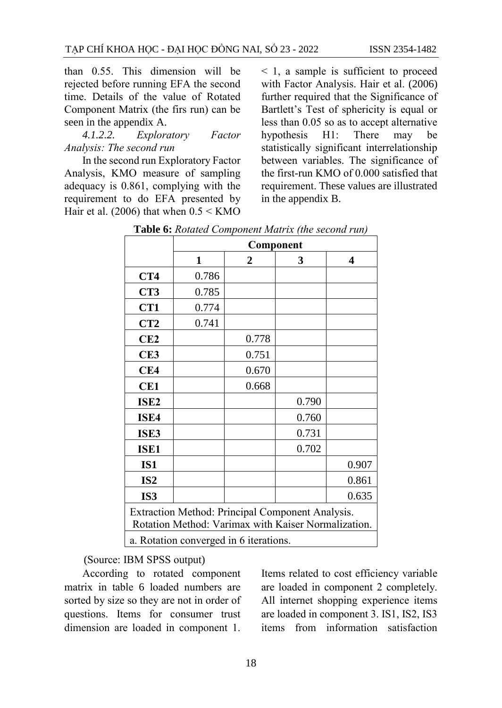than 0.55. This dimension will be rejected before running EFA the second time. Details of the value of Rotated Component Matrix (the firs run) can be seen in the appendix A.

Exploratory  $4.1.2.2$ Factor Analysis: The second run

In the second run Exploratory Factor Analysis, KMO measure of sampling adequacy is 0.861, complying with the requirement to do EFA presented by Hair et al. (2006) that when  $0.5 \leq KMO$ 

 $<$  1, a sample is sufficient to proceed with Factor Analysis. Hair et al. (2006) further required that the Significance of Bartlett's Test of sphericity is equal or less than 0.05 so as to accept alternative There  $H1:$ may hypothesis be statistically significant interrelationship between variables. The significance of the first-run KMO of 0.000 satisfied that requirement. These values are illustrated in the appendix B.

|                                                                                                         | Component    |                |       |       |  |  |  |
|---------------------------------------------------------------------------------------------------------|--------------|----------------|-------|-------|--|--|--|
|                                                                                                         | $\mathbf{1}$ | $\overline{2}$ | 3     | 4     |  |  |  |
| CT4                                                                                                     | 0.786        |                |       |       |  |  |  |
| CT3                                                                                                     | 0.785        |                |       |       |  |  |  |
| CT1                                                                                                     | 0.774        |                |       |       |  |  |  |
| CT2                                                                                                     | 0.741        |                |       |       |  |  |  |
| CE2                                                                                                     |              | 0.778          |       |       |  |  |  |
| CE3                                                                                                     |              | 0.751          |       |       |  |  |  |
| CE4                                                                                                     |              | 0.670          |       |       |  |  |  |
| CE1                                                                                                     |              | 0.668          |       |       |  |  |  |
| ISE <sub>2</sub>                                                                                        |              |                | 0.790 |       |  |  |  |
| ISE4                                                                                                    |              |                | 0.760 |       |  |  |  |
| ISE3                                                                                                    |              |                | 0.731 |       |  |  |  |
| ISE1                                                                                                    |              |                | 0.702 |       |  |  |  |
| IS1                                                                                                     |              |                |       | 0.907 |  |  |  |
| IS <sub>2</sub>                                                                                         |              |                |       | 0.861 |  |  |  |
| IS <sub>3</sub>                                                                                         |              |                |       | 0.635 |  |  |  |
| Extraction Method: Principal Component Analysis.<br>Rotation Method: Varimax with Kaiser Normalization. |              |                |       |       |  |  |  |
| a. Rotation converged in 6 iterations.                                                                  |              |                |       |       |  |  |  |

Table 6: Rotated Component Matrix (the second run)

(Source: IBM SPSS output)

According to rotated component matrix in table 6 loaded numbers are sorted by size so they are not in order of questions. Items for consumer trust dimension are loaded in component 1.

Items related to cost efficiency variable are loaded in component 2 completely. All internet shopping experience items are loaded in component 3. IS1, IS2, IS3 items from information satisfaction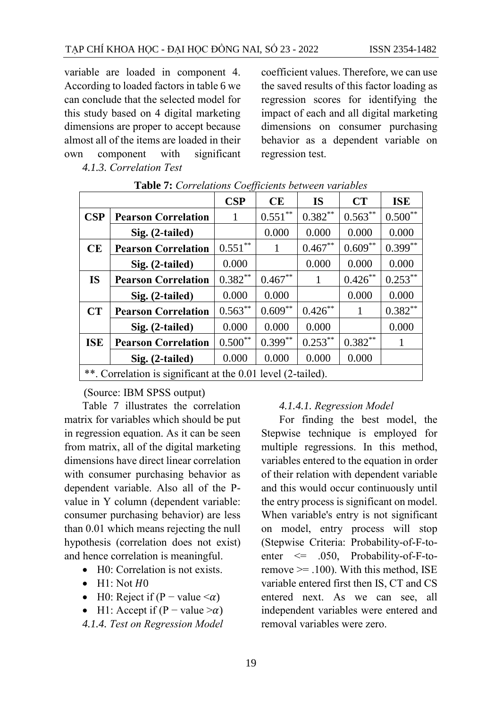variable are loaded in component 4. According to loaded factors in table 6 we can conclude that the selected model for this study based on 4 digital marketing dimensions are proper to accept because almost all of the items are loaded in their own component with significant 4.1.3. Correlation Test

coefficient values. Therefore, we can use the saved results of this factor loading as regression scores for identifying the impact of each and all digital marketing dimensions on consumer purchasing behavior as a dependent variable on regression test.

|            |                                                              | IJ<br>CSP  | CE         | <b>IS</b>  | CT         | <b>ISE</b> |
|------------|--------------------------------------------------------------|------------|------------|------------|------------|------------|
| CSP        | <b>Pearson Correlation</b>                                   | 1          | $0.551***$ | $0.382**$  | $0.563***$ | $0.500**$  |
|            | Sig. (2-tailed)                                              |            | 0.000      | 0.000      | 0.000      | 0.000      |
| CE         | <b>Pearson Correlation</b>                                   | $0.551***$ | 1          | $0.467**$  | $0.609**$  | $0.399***$ |
|            | Sig. (2-tailed)                                              | 0.000      |            | 0.000      | 0.000      | 0.000      |
| <b>IS</b>  | <b>Pearson Correlation</b>                                   | $0.382**$  | $0.467**$  |            | $0.426***$ | $0.253***$ |
|            | Sig. (2-tailed)                                              | 0.000      | 0.000      |            | 0.000      | 0.000      |
| CT         | <b>Pearson Correlation</b>                                   | $0.563***$ | $0.609**$  | $0.426***$ | 1          | $0.382**$  |
|            | Sig. (2-tailed)                                              | 0.000      | 0.000      | 0.000      |            | 0.000      |
| <b>ISE</b> | <b>Pearson Correlation</b>                                   | $0.500**$  | $0.399**$  | $0.253***$ | $0.382**$  | 1          |
|            | Sig. (2-tailed)                                              | 0.000      | 0.000      | 0.000      | 0.000      |            |
|            | **. Correlation is significant at the 0.01 level (2-tailed). |            |            |            |            |            |

**Table 7:** Correlations Coefficients between variables

(Source: IBM SPSS output)

Table 7 illustrates the correlation matrix for variables which should be put in regression equation. As it can be seen from matrix, all of the digital marketing dimensions have direct linear correlation with consumer purchasing behavior as dependent variable. Also all of the Pvalue in Y column (dependent variable: consumer purchasing behavior) are less than 0.01 which means rejecting the null hypothesis (correlation does not exist) and hence correlation is meaningful.

- $\bullet$  H0: Correlation is not exists.
- $\bullet$  H1: Not H0
- H0: Reject if  $(P value < \alpha)$
- H1: Accept if  $(P value > \alpha)$
- 4.1.4. Test on Regression Model

#### 4.1.4.1. Regression Model

For finding the best model, the Stepwise technique is employed for multiple regressions. In this method, variables entered to the equation in order of their relation with dependent variable and this would occur continuously until the entry process is significant on model. When variable's entry is not significant on model, entry process will stop (Stepwise Criteria: Probability-of-F-toenter  $\leq$  .050, Probability-of-F-toremove  $\ge$  = .100). With this method, ISE variable entered first then IS, CT and CS entered next. As we can see, all independent variables were entered and removal variables were zero.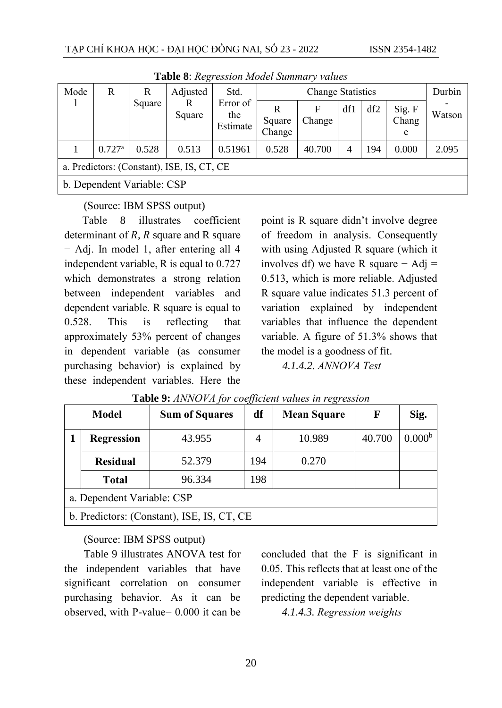| Mode                                       | R                          | R      | Adjusted    | Std.                        |                       | <b>Change Statistics</b> |     |     |                      | Durbin |
|--------------------------------------------|----------------------------|--------|-------------|-----------------------------|-----------------------|--------------------------|-----|-----|----------------------|--------|
|                                            |                            | Square | R<br>Square | Error of<br>the<br>Estimate | R<br>Square<br>Change | F<br>Change              | df1 | df2 | Sig. F<br>Chang<br>e | Watson |
|                                            | $0.727$ <sup>a</sup>       | 0.528  | 0.513       | 0.51961                     | 0.528                 | 40.700                   | 4   | 194 | 0.000                | 2.095  |
| a. Predictors: (Constant), ISE, IS, CT, CE |                            |        |             |                             |                       |                          |     |     |                      |        |
|                                            | b. Dependent Variable: CSP |        |             |                             |                       |                          |     |     |                      |        |

**Table 8:** Regression Model Summary values

(Source: IBM SPSS output)

illustrates coefficient Table 8 determinant of  $R$ ,  $R$  square and  $R$  square - Adj. In model 1, after entering all 4 independent variable, R is equal to 0.727 which demonstrates a strong relation between independent variables and dependent variable. R square is equal to  $0.528.$ **This**  $is$ reflecting that approximately 53% percent of changes in dependent variable (as consumer purchasing behavior) is explained by these independent variables. Here the

point is R square didn't involve degree of freedom in analysis. Consequently with using Adjusted R square (which it involves df) we have R square  $-$  Adj  $=$ 0.513, which is more reliable. Adjusted R square value indicates 51.3 percent of variation explained by independent variables that influence the dependent variable. A figure of 51.3% shows that the model is a goodness of fit.

4.1.4.2. ANNOVA Test

| <b>Model</b> |                            | <b>Sum of Squares</b>                      | IJ<br>df | <b>Mean Square</b> | $\mathbf F$ | Sig.               |  |  |  |
|--------------|----------------------------|--------------------------------------------|----------|--------------------|-------------|--------------------|--|--|--|
|              | <b>Regression</b>          | 43.955                                     | 4        | 10.989             | 40.700      | 0.000 <sup>b</sup> |  |  |  |
|              | <b>Residual</b>            | 52.379                                     | 194      | 0.270              |             |                    |  |  |  |
|              | <b>Total</b>               | 96.334                                     | 198      |                    |             |                    |  |  |  |
|              | a. Dependent Variable: CSP |                                            |          |                    |             |                    |  |  |  |
|              |                            | b. Predictors: (Constant), ISE, IS, CT, CE |          |                    |             |                    |  |  |  |

**Table 9:** ANNOVA for coefficient values in regression

#### (Source: IBM SPSS output)

Table 9 illustrates ANOVA test for the independent variables that have significant correlation on consumer purchasing behavior. As it can be observed, with P-value= 0.000 it can be concluded that the F is significant in 0.05. This reflects that at least one of the independent variable is effective in predicting the dependent variable.

4.1.4.3. Regression weights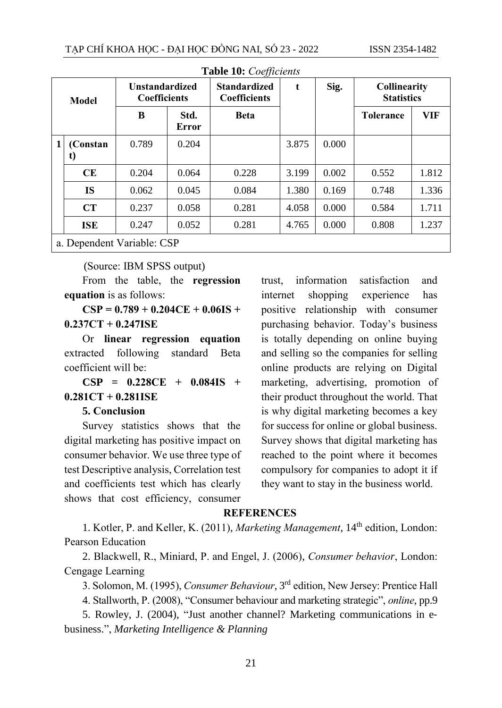|              | $\bf 1$ and $\bf 10.$ Cocylicially |                                              |               |                                            |       |                            |                                   |       |  |  |  |  |  |  |
|--------------|------------------------------------|----------------------------------------------|---------------|--------------------------------------------|-------|----------------------------|-----------------------------------|-------|--|--|--|--|--|--|
| <b>Model</b> |                                    | <b>Unstandardized</b><br><b>Coefficients</b> |               | <b>Standardized</b><br><b>Coefficients</b> | t     | Sig.                       | Collinearity<br><b>Statistics</b> |       |  |  |  |  |  |  |
|              |                                    | B                                            | Std.<br>Error | <b>Beta</b>                                |       |                            | <b>Tolerance</b>                  | VIF   |  |  |  |  |  |  |
| 1            | (Constan<br>t)                     | 0.789                                        | 0.204         |                                            | 3.875 | 0.000                      |                                   |       |  |  |  |  |  |  |
|              | CE                                 | 0.204                                        | 0.064         | 0.228                                      | 3.199 | 0.002                      | 0.552                             | 1.812 |  |  |  |  |  |  |
|              | <b>IS</b>                          | 0.062                                        | 0.045         | 0.084                                      | 1.380 | 0.169                      | 0.748                             | 1.336 |  |  |  |  |  |  |
|              | CT                                 | 0.237                                        | 0.058         | 0.281                                      | 4.058 | 0.000                      | 0.584                             | 1.711 |  |  |  |  |  |  |
|              | <b>ISE</b>                         | 0.247                                        | 0.052         | 0.281                                      | 4.765 | 0.000                      | 0.808                             | 1.237 |  |  |  |  |  |  |
|              |                                    |                                              |               |                                            |       | a. Dependent Variable: CSP |                                   |       |  |  |  |  |  |  |

Table 10. Coefficients

(Source: IBM SPSS output)

From the table, the regression equation is as follows:

 $CSP = 0.789 + 0.204CE + 0.06IS +$  $0.237CT + 0.247ISE$ 

Or linear regression equation extracted following standard Beta coefficient will be:

 $CSP = 0.228CE + 0.084IS +$  $0.281CT + 0.281ISE$ 

#### 5. Conclusion

Survey statistics shows that the digital marketing has positive impact on consumer behavior. We use three type of test Descriptive analysis, Correlation test and coefficients test which has clearly shows that cost efficiency, consumer

trust. information satisfaction and experience shopping internet has positive relationship with consumer purchasing behavior. Today's business is totally depending on online buying and selling so the companies for selling online products are relying on Digital marketing, advertising, promotion of their product throughout the world. That is why digital marketing becomes a key for success for online or global business. Survey shows that digital marketing has reached to the point where it becomes compulsory for companies to adopt it if they want to stay in the business world.

#### **REFERENCES**

1. Kotler, P. and Keller, K. (2011), Marketing Management, 14<sup>th</sup> edition, London: **Pearson Education** 

2. Blackwell, R., Miniard, P. and Engel, J. (2006), Consumer behavior, London: Cengage Learning

3. Solomon, M. (1995), Consumer Behaviour, 3<sup>rd</sup> edition, New Jersey: Prentice Hall

4. Stallworth, P. (2008), "Consumer behaviour and marketing strategic", online, pp.9

5. Rowley, J. (2004), "Just another channel? Marketing communications in ebusiness.", Marketing Intelligence & Planning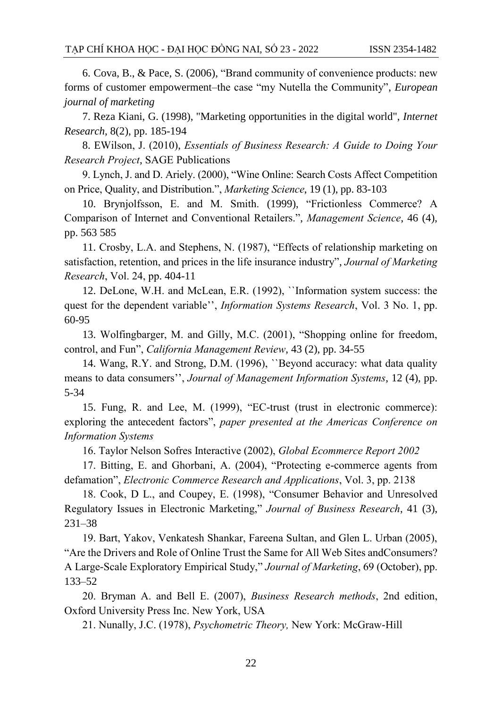6. Cova, B., & Pace, S. (2006), "Brand community of convenience products: new forms of customer empowerment-the case "my Nutella the Community", European journal of marketing

7. Reza Kiani, G. (1998), "Marketing opportunities in the digital world", Internet Research, 8(2), pp. 185-194

8. EWilson, J. (2010), Essentials of Business Research: A Guide to Doing Your Research Project, SAGE Publications

9. Lynch, J. and D. Ariely. (2000), "Wine Online: Search Costs Affect Competition on Price, Quality, and Distribution.", Marketing Science, 19 (1), pp. 83-103

10. Brynjolfsson, E. and M. Smith. (1999), "Frictionless Commerce? A Comparison of Internet and Conventional Retailers.", Management Science, 46 (4), pp. 563 585

11. Crosby, L.A. and Stephens, N. (1987), "Effects of relationship marketing on satisfaction, retention, and prices in the life insurance industry", Journal of Marketing Research, Vol. 24, pp. 404-11

12. DeLone, W.H. and McLean, E.R. (1992), "Information system success: the quest for the dependent variable", *Information Systems Research*, Vol. 3 No. 1, pp.  $60 - 95$ 

13. Wolfingbarger, M. and Gilly, M.C. (2001), "Shopping online for freedom, control, and Fun", California Management Review, 43 (2), pp. 34-55

14. Wang, R.Y. and Strong, D.M. (1996), "Beyond accuracy: what data quality means to data consumers", Journal of Management Information Systems, 12 (4), pp.  $5 - 34$ 

15. Fung, R. and Lee, M. (1999), "EC-trust (trust in electronic commerce): exploring the antecedent factors", paper presented at the Americas Conference on **Information Systems** 

16. Taylor Nelson Sofres Interactive (2002), Global Ecommerce Report 2002

17. Bitting, E. and Ghorbani, A. (2004), "Protecting e-commerce agents from defamation", Electronic Commerce Research and Applications, Vol. 3, pp. 2138

18. Cook, D L., and Coupey, E. (1998), "Consumer Behavior and Unresolved Regulatory Issues in Electronic Marketing," Journal of Business Research, 41 (3),  $231 - 38$ 

19. Bart, Yakov, Venkatesh Shankar, Fareena Sultan, and Glen L. Urban (2005), "Are the Drivers and Role of Online Trust the Same for All Web Sites and Consumers?" A Large-Scale Exploratory Empirical Study," Journal of Marketing, 69 (October), pp.  $133 - 52$ 

20. Bryman A. and Bell E. (2007), Business Research methods, 2nd edition, Oxford University Press Inc. New York, USA

21. Nunally, J.C. (1978), Psychometric Theory, New York: McGraw-Hill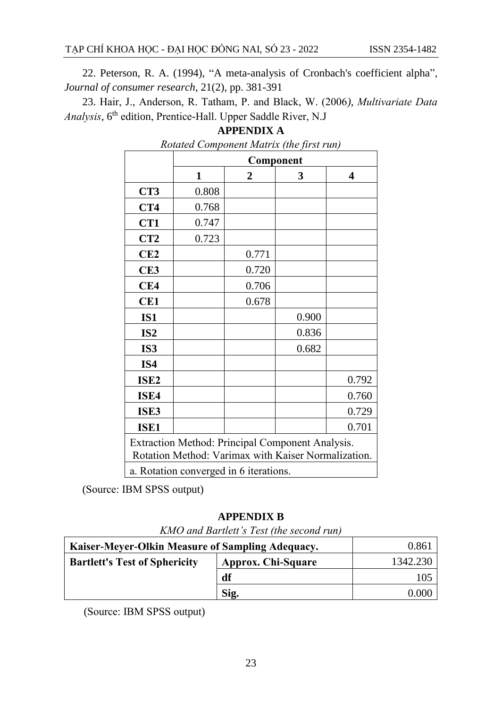ISSN 2354-1482

22. Peterson, R. A. (1994), "A meta-analysis of Cronbach's coefficient alpha", Journal of consumer research, 21(2), pp. 381-391

23. Hair, J., Anderson, R. Tatham, P. and Black, W. (2006), Multivariate Data Analysis, 6th edition, Prentice-Hall. Upper Saddle River, N.J

|                                                                                                         | Component                              |       |       |       |  |  |  |
|---------------------------------------------------------------------------------------------------------|----------------------------------------|-------|-------|-------|--|--|--|
|                                                                                                         | 1                                      | 2     | 3     | 4     |  |  |  |
| CT3                                                                                                     | 0.808                                  |       |       |       |  |  |  |
| CT4                                                                                                     | 0.768                                  |       |       |       |  |  |  |
| CT1                                                                                                     | 0.747                                  |       |       |       |  |  |  |
| CT <sub>2</sub>                                                                                         | 0.723                                  |       |       |       |  |  |  |
| CE <sub>2</sub>                                                                                         |                                        | 0.771 |       |       |  |  |  |
| CE3                                                                                                     |                                        | 0.720 |       |       |  |  |  |
| CE4                                                                                                     |                                        | 0.706 |       |       |  |  |  |
| CE1                                                                                                     |                                        | 0.678 |       |       |  |  |  |
| IS1                                                                                                     |                                        |       | 0.900 |       |  |  |  |
| IS <sub>2</sub>                                                                                         |                                        |       | 0.836 |       |  |  |  |
| IS3                                                                                                     |                                        |       | 0.682 |       |  |  |  |
| IS4                                                                                                     |                                        |       |       |       |  |  |  |
| ISE <sub>2</sub>                                                                                        |                                        |       |       | 0.792 |  |  |  |
| ISE4                                                                                                    |                                        |       |       | 0.760 |  |  |  |
| ISE3                                                                                                    |                                        |       |       | 0.729 |  |  |  |
| ISE1                                                                                                    |                                        |       |       | 0.701 |  |  |  |
| Extraction Method: Principal Component Analysis.<br>Rotation Method: Varimax with Kaiser Normalization. |                                        |       |       |       |  |  |  |
|                                                                                                         | a. Rotation converged in 6 iterations. |       |       |       |  |  |  |

#### **APPENDIX A**

Rotated Component Matrix (the first run)

(Source: IBM SPSS output)

#### **APPENDIX B**

KMO and Bartlett's Test (the second run)

| Kaiser-Meyer-Olkin Measure of Sampling Adequacy. |                           | 0.86     |
|--------------------------------------------------|---------------------------|----------|
| <b>Bartlett's Test of Sphericity</b>             | <b>Approx. Chi-Square</b> | 1342.230 |
|                                                  | df                        | 105      |
|                                                  | Sig.                      | 0.000    |

(Source: IBM SPSS output)